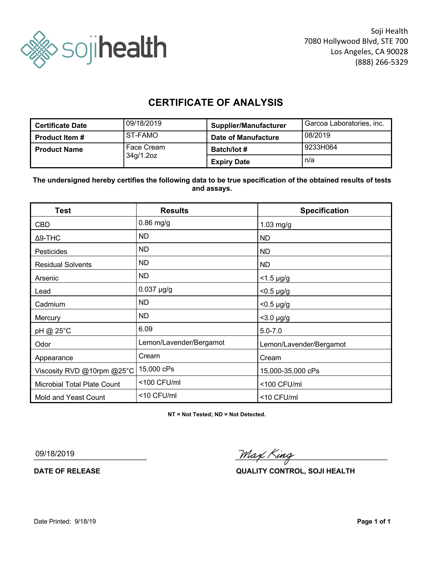

## **CERTIFICATE OF ANALYSIS**

| <b>Certificate Date</b> | 09/18/2019 | <b>Supplier/Manufacturer</b> | Garcoa Laboratories, inc. |
|-------------------------|------------|------------------------------|---------------------------|
| <b>Product Item #</b>   | ST-FAMO    | Date of Manufacture          | 08/2019                   |
| <b>Product Name</b>     | Face Cream | <b>Batch/lot #</b>           | 9233H064                  |
|                         | 34g/1.2oz  | <b>Expiry Date</b>           | n/a                       |

**The undersigned hereby certifies the following data to be true specification of the obtained results of tests and assays.**

| <b>Test</b>                 | <b>Results</b>          | <b>Specification</b>    |
|-----------------------------|-------------------------|-------------------------|
| <b>CBD</b>                  | $0.86$ mg/g             | $1.03$ mg/g             |
| $\Delta$ 9-THC              | ND.                     | ND                      |
| Pesticides                  | ND.                     | <b>ND</b>               |
| <b>Residual Solvents</b>    | <b>ND</b>               | <b>ND</b>               |
| Arsenic                     | ND.                     | $<$ 1.5 µg/g            |
| Lead                        | $0.037$ µg/g            | $< 0.5 \mu g/g$         |
| Cadmium                     | <b>ND</b>               | $<$ 0.5 µg/g            |
| Mercury                     | ND.                     | $<$ 3.0 $\mu$ g/g       |
| pH @ 25°C                   | 6.09                    | $5.0 - 7.0$             |
| Odor                        | Lemon/Lavender/Bergamot | Lemon/Lavender/Bergamot |
| Appearance                  | Cream                   | Cream                   |
| Viscosity RVD @10rpm @25°C  | 15,000 cPs              | 15,000-35,000 cPs       |
| Microbial Total Plate Count | <100 CFU/ml             | <100 CFU/ml             |
| Mold and Yeast Count        | <10 CFU/ml              | <10 CFU/ml              |

**NT = Not Tested; ND = Not Detected.**

09/18/2019

Max King

**DATE OF RELEASE QUALITY CONTROL, SOJI HEALTH**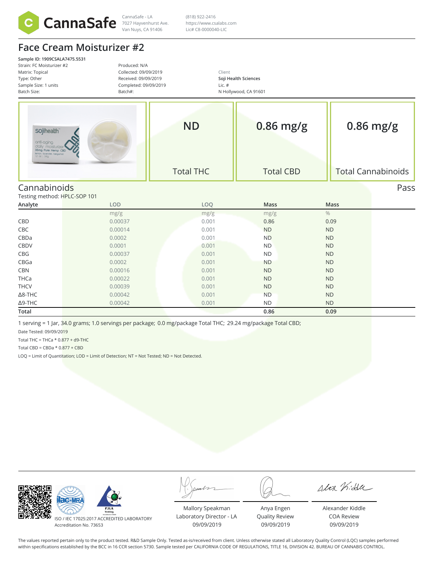

Van Nuys, CA 91406

 $\frac{1}{\text{CannaSafe - LA}}$  (818) 922-2416 (818) 922-2416 https://www.csalabs.com Lic# C8-0000040-LIC

## **Face Cream Moisturizer #2**

**Sample ID: 1909CSALA7475.5531** Strain: FC Moisturizer #2 Produced: N/A Matrix: Topical Collected: 09/09/2019 Client Type: Other Received: 09/09/2019 **Soji Health Sciences** Sample Size: 1 units Completed: 09/09/2019 Lic. # Batch Size: Batch#: N Hollywood, CA 91601 **0.86 mg/g ND 0.86 mg/g** sojihealth anti-aging ng Pure He mo CE Total THC Total CBD Total Cannabinoids Cannabinoids Pass Testing method: HPLC-SOP 101 **Analyte LOD LOQ Mass Mass**  $mg/g$  and  $mg/g$  and  $mg/g$  and  $mg/g$  and  $\%$ CBD 0.00037 0.001 0.86 0.09 **CBC** 0.00014 0.0001 0.0001 ND ND CBDa 0.0002 0.001 ND ND CBDV 0.0001 0.001 ND ND CBG 0.00037 0.001 ND ND CBGa 0.0002 0.001 ND ND CBN 0.00016 0.001 ND ND THCa 0.00022 0.001 ND ND THCV 0.00039 0.001 ND ND Δ8-THC 0.00042 0.001 ND ND Δ9-THC 0.00042 0.001 ND ND

**Total 0.86 0.09**

1 serving = 1 Jar, 34.0 grams; 1.0 servings per package; 0.0 mg/package Total THC; 29.24 mg/package Total CBD;

Date Tested: 09/09/2019

Total THC = THCa  $*$  0.877 + d9-THC

Total CBD =  $CBDa * 0.877 + CBD$ 

LOQ = Limit of Quantitation; LOD = Limit of Detection; NT = Not Tested; ND = Not Detected.

|                                                                                              |                                                            |                                            | Alex Kidda                                          |
|----------------------------------------------------------------------------------------------|------------------------------------------------------------|--------------------------------------------|-----------------------------------------------------|
| <b>PJLA</b><br><b>Testing</b><br>17025:2017 ACCREDITED LABORATORY<br>Accreditation No. 73653 | Mallory Speakman<br>Laboratory Director - LA<br>09/09/2019 | Anya Engen<br>Quality Review<br>09/09/2019 | Alexander Kiddle<br><b>COA Review</b><br>09/09/2019 |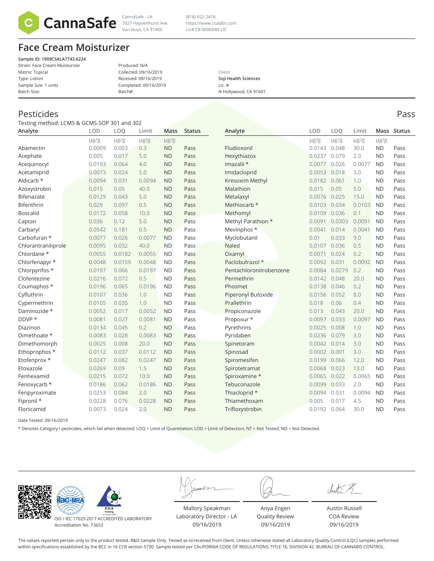

Van Nuys, CA 91406

 $\frac{1}{\text{CannaSafe - LA}}$  (818) 922-2416 (818) 922-2416 https://www.csalabs.com Lic# C8-0000040-LIC

## **Face Cream Moisturizer**

**Sample ID: 1909CSALA7743.6224** Strain: Face Cream Moisturizer Matrix: Topical Type: Lotion Sample Size: 1 units Batch Size:

Produced: N/A Collected: 09/16/2019 Received: 09/16/2019 Completed: 09/16/2019 Batch#:

Client **Soji Health Sciences** Lic. # N Hollywood, CA 91601

### Pesticides Pass

Testing method: LCMS & GCMS-SOP 301 and 302

| Analyte             | LOD       | LOO       | Limit     | <b>Mass</b> | <b>Status</b> | Analyte                   | LOD          | LOO       | Limit     |           | Mass Status |
|---------------------|-----------|-----------|-----------|-------------|---------------|---------------------------|--------------|-----------|-----------|-----------|-------------|
|                     | $\mu$ g/g | $\mu$ g/g | $\mu$ g/g | $\mu$ g/g   |               |                           | $\mu$ g/g    | $\mu$ g/g | $\mu$ g/g | $\mu$ g/g |             |
| Abamectin           | 0.0009    | 0.003     | 0.3       | <b>ND</b>   | Pass          | Fludioxonil               | 0.0143       | 0.048     | 30.0      | <b>ND</b> | Pass        |
| Acephate            | 0.005     | 0.017     | 5.0       | <b>ND</b>   | Pass          | Hexythiazox               | 0.0237       | 0.079     | 2.0       | <b>ND</b> | Pass        |
| Acequinocyl         | 0.0193    | 0.064     | 4.0       | <b>ND</b>   | Pass          | Imazalil *                | 0.0077       | 0.026     | 0.0077    | <b>ND</b> | Pass        |
| Acetamiprid         | 0.0073    | 0.024     | 5.0       | <b>ND</b>   | Pass          | Imidacloprid              | 0.0053       | 0.018     | 3.0       | <b>ND</b> | Pass        |
| Aldicarb *          | 0.0094    | 0.031     | 0.0094    | <b>ND</b>   | Pass          | Kresoxim Methyl           | 0.0182       | 0.061     | 1.0       | <b>ND</b> | Pass        |
| Azoxystrobin        | 0.015     | 0.05      | 40.0      | <b>ND</b>   | Pass          | Malathion                 | 0.015        | 0.05      | 5.0       | <b>ND</b> | Pass        |
| Bifenazate          | 0.0129    | 0.043     | 5.0       | <b>ND</b>   | Pass          | Metalaxyl                 | 0.0076       | 0.025     | 15.0      | <b>ND</b> | Pass        |
| Bifenthrin          | 0.029     | 0.097     | 0.5       | <b>ND</b>   | Pass          | Methiocarb *              | 0.0103       | 0.034     | 0.0103    | <b>ND</b> | Pass        |
| <b>Boscalid</b>     | 0.0172    | 0.058     | 10.0      | <b>ND</b>   | Pass          | Methomyl                  | 0.0109       | 0.036     | 0.1       | <b>ND</b> | Pass        |
| Captan              | 0.036     | 0.12      | 5.0       | <b>ND</b>   | Pass          | Methyl Parathion *        | 0.0091       | 0.0303    | 0.0091    | <b>ND</b> | Pass        |
| Carbaryl            | 0.0542    | 0.181     | 0.5       | <b>ND</b>   | Pass          | Mevinphos *               | 0.0041       | 0.014     | 0.0041    | <b>ND</b> | Pass        |
| Carbofuran *        | 0.0077    | 0.026     | 0.0077    | <b>ND</b>   | Pass          | Myclobutanil              | 0.01         | 0.033     | 9.0       | <b>ND</b> | Pass        |
| Chlorantraniliprole | 0.0095    | 0.032     | 40.0      | <b>ND</b>   | Pass          | <b>Naled</b>              | 0.0107       | 0.036     | 0.5       | <b>ND</b> | Pass        |
| Chlordane *         | 0.0055    | 0.0182    | 0.0055    | <b>ND</b>   | Pass          | Oxamyl                    | 0.0071       | 0.024     | 0.2       | <b>ND</b> | Pass        |
| Chlorfenapyr *      | 0.0048    | 0.0159    | 0.0048    | <b>ND</b>   | Pass          | Paclobutrazol *           | 0.0092       | 0.031     | 0.0092    | <b>ND</b> | Pass        |
| Chlorpyrifos *      | 0.0197    | 0.066     | 0.0197    | <b>ND</b>   | Pass          | Pentachloronitrobenzene   | 0.0084       | 0.0279    | 0.2       | <b>ND</b> | Pass        |
| Clofentezine        | 0.0216    | 0.072     | 0.5       | <b>ND</b>   | Pass          | Permethrin                | 0.0142       | 0.048     | 20.0      | <b>ND</b> | Pass        |
| Coumaphos *         | 0.0196    | 0.065     | 0.0196    | <b>ND</b>   | Pass          | Phosmet                   | 0.0138       | 0.046     | 0.2       | <b>ND</b> | Pass        |
| Cyfluthrin          | 0.0107    | 0.036     | 1.0       | <b>ND</b>   | Pass          | <b>Piperonyl Butoxide</b> | 0.0156       | 0.052     | 8.0       | <b>ND</b> | Pass        |
| Cypermethrin        | 0.0105    | 0.035     | 1.0       | <b>ND</b>   | Pass          | Prallethrin               | 0.018        | 0.06      | 0.4       | <b>ND</b> | Pass        |
| Daminozide *        | 0.0052    | 0.017     | 0.0052    | <b>ND</b>   | Pass          | Propiconazole             | 0.013        | 0.043     | 20.0      | <b>ND</b> | Pass        |
| DDVP *              | 0.0081    | 0.027     | 0.0081    | <b>ND</b>   | Pass          | Propoxur *                | 0.0097       | 0.033     | 0.0097    | <b>ND</b> | Pass        |
| Diazinon            | 0.0134    | 0.045     | 0.2       | <b>ND</b>   | Pass          | Pyrethrins                | 0.0025       | 0.008     | 1.0       | <b>ND</b> | Pass        |
| Dimethoate *        | 0.0083    | 0.028     | 0.0083    | <b>ND</b>   | Pass          | Pyridaben                 | 0.0236       | 0.079     | 3.0       | <b>ND</b> | Pass        |
| Dimethomorph        | 0.0025    | 0.008     | 20.0      | <b>ND</b>   | Pass          | Spinetoram                | 0.0042       | 0.014     | 3.0       | <b>ND</b> | Pass        |
| Ethoprophos *       | 0.0112    | 0.037     | 0.0112    | <b>ND</b>   | Pass          | Spinosad                  | 0.0002       | 0.001     | 3.0       | <b>ND</b> | Pass        |
| Etofenprox *        | 0.0247    | 0.082     | 0.0247    | <b>ND</b>   | Pass          | Spiromesifen              | 0.0199       | 0.066     | 12.0      | <b>ND</b> | Pass        |
| Etoxazole           | 0.0269    | 0.09      | 1.5       | <b>ND</b>   | Pass          | Spirotetramat             | 0.0068       | 0.023     | 13.0      | <b>ND</b> | Pass        |
| Fenhexamid          | 0.0215    | 0.072     | 10.0      | <b>ND</b>   | Pass          | Spiroxamine *             | 0.0065       | 0.022     | 0.0065    | <b>ND</b> | Pass        |
| Fenoxycarb *        | 0.0186    | 0.062     | 0.0186    | <b>ND</b>   | Pass          | Tebuconazole              | 0.0099       | 0.033     | 2.0       | <b>ND</b> | Pass        |
| Fenpyroximate       | 0.0253    | 0.084     | 2.0       | <b>ND</b>   | Pass          | Thiacloprid *             | 0.0094       | 0.031     | 0.0094    | <b>ND</b> | Pass        |
| Fipronil *          | 0.0228    | 0.076     | 0.0228    | <b>ND</b>   | Pass          | Thiamethoxam              | 0.005        | 0.017     | 4.5       | <b>ND</b> | Pass        |
| Flonicamid          | 0.0073    | 0.024     | 2.0       | <b>ND</b>   | Pass          | Trifloxystrobin           | 0.0192 0.064 |           | 30.0      | <b>ND</b> | Pass        |

Date Tested: 09/16/2019

\* Denotes Category I pesticides, which fail when detected; LOQ = Limit of Quantitation; LOD = Limit of Detection; NT = Not Tested; ND = Not Detected.

**ac-MR** 



ISO / IEC 17025:2017 ACCREDITED LABORATORY Accreditation No. 73653

Mallory Speakman Laboratory Director - LA 09/16/2019

Anya Engen Quality Review 09/16/2019

Austi 2

Austin Russell COA Review 09/16/2019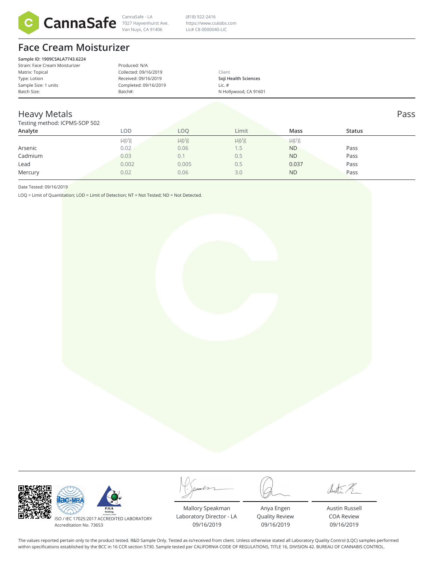

7027 Hayvenhurst Ave. Van Nuys, CA 91406

 $\frac{1}{\text{CannaSafe - LA}}$  (818) 922-2416 (818) 922-2416 https://www.csalabs.com Lic# C8-0000040-LIC

# **Face Cream Moisturizer**

| Sample ID: 1909CSALA7743.6224  |                       |                       |  |
|--------------------------------|-----------------------|-----------------------|--|
| Strain: Face Cream Moisturizer | Produced: N/A         |                       |  |
| Matrix: Topical                | Collected: 09/16/2019 | Client                |  |
| Type: Lotion                   | Received: 09/16/2019  | Soji Health Sciences  |  |
| Sample Size: 1 units           | Completed: 09/16/2019 | Lic. $#$              |  |
| Batch Size:                    | Batch#:               | N Hollywood, CA 91601 |  |
|                                |                       |                       |  |

#### Heavy Metals Pass

#### Testing method: ICPMS-SOP 502

| Analyte | LOD       | LOO       | Limit     | Mass      | <b>Status</b> |  |
|---------|-----------|-----------|-----------|-----------|---------------|--|
|         | $\mu$ g/g | $\mu$ g/g | $\mu$ g/g | $\mu$ g/g |               |  |
| Arsenic | 0.02      | 0.06      | 1.5       | <b>ND</b> | Pass          |  |
| Cadmium | 0.03      | 0.1       | 0.5       | <b>ND</b> | Pass          |  |
| Lead    | 0.002     | 0.005     | 0.5       | 0.037     | Pass          |  |
| Mercury | 0.02      | 0.06      | 3.0       | <b>ND</b> | Pass          |  |
|         |           |           |           |           |               |  |

Date Tested: 09/16/2019

LOQ = Limit of Quantitation; LOD = Limit of Detection; NT = Not Tested; ND = Not Detected.

| <b>PJLA</b><br><b>Testing</b><br>ISO / IEC 17025:2017 ACCREDITED LABORATORY<br>Accreditation No. 73653 | Mallory Speakman<br>Laboratory Director - LA<br>09/16/2019 | Anya Engen<br>Quality Review<br>09/16/2019 | Austin Russell<br><b>COA Review</b><br>09/16/2019 |
|--------------------------------------------------------------------------------------------------------|------------------------------------------------------------|--------------------------------------------|---------------------------------------------------|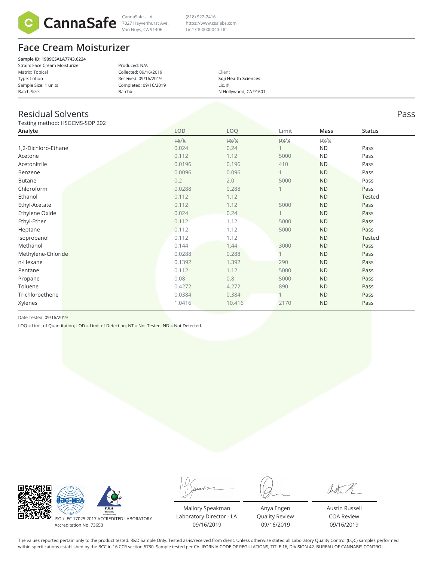

Van Nuys, CA 91406

 $\frac{1}{\text{CannaSafe - LA}}$  (818) 922-2416 (818) 922-2416 https://www.csalabs.com Lic# C8-0000040-LIC

## **Face Cream Moisturizer**

**Sample ID: 1909CSALA7743.6224** Strain: Face Cream Moisturizer Matrix: Topical Type: Lotion Sample Size: 1 units Batch Size: Produced: N/A Collected: 09/16/2019 Received: 09/16/2019 Completed: 09/16/2019 Batch#:

Client **Soji Health Sciences** Lic. # N Hollywood, CA 91601

## Residual Solvents Pass

Testing method: HSGCMS-SOP 202

| <b>I COUTIN ITICUTOU, I IDOCIVID DOI LEUL</b> |            |            |           |           |               |  |
|-----------------------------------------------|------------|------------|-----------|-----------|---------------|--|
| Analyte                                       | <b>LOD</b> | <b>LOQ</b> | Limit     | Mass      | <b>Status</b> |  |
|                                               | $\mu$ g/g  | $\mu$ g/g  | $\mu$ g/g | $\mu$ g/g |               |  |
| 1,2-Dichloro-Ethane                           | 0.024      | 0.24       |           | <b>ND</b> | Pass          |  |
| Acetone                                       | 0.112      | 1.12       | 5000      | <b>ND</b> | Pass          |  |
| Acetonitrile                                  | 0.0196     | 0.196      | 410       | <b>ND</b> | Pass          |  |
| Benzene                                       | 0.0096     | 0.096      |           | <b>ND</b> | Pass          |  |
| <b>Butane</b>                                 | 0.2        | 2.0        | 5000      | <b>ND</b> | Pass          |  |
| Chloroform                                    | 0.0288     | 0.288      |           | <b>ND</b> | Pass          |  |
| Ethanol                                       | 0.112      | 1.12       |           | <b>ND</b> | <b>Tested</b> |  |
| Ethyl-Acetate                                 | 0.112      | 1.12       | 5000      | <b>ND</b> | Pass          |  |
| Ethylene Oxide                                | 0.024      | 0.24       |           | <b>ND</b> | Pass          |  |
| Ethyl-Ether                                   | 0.112      | 1.12       | 5000      | <b>ND</b> | Pass          |  |
| Heptane                                       | 0.112      | 1.12       | 5000      | <b>ND</b> | Pass          |  |
| Isopropanol                                   | 0.112      | 1.12       |           | <b>ND</b> | <b>Tested</b> |  |
| Methanol                                      | 0.144      | 1.44       | 3000      | <b>ND</b> | Pass          |  |
| Methylene-Chloride                            | 0.0288     | 0.288      |           | <b>ND</b> | Pass          |  |
| n-Hexane                                      | 0.1392     | 1.392      | 290       | <b>ND</b> | Pass          |  |
| Pentane                                       | 0.112      | 1.12       | 5000      | <b>ND</b> | Pass          |  |
| Propane                                       | 0.08       | 0.8        | 5000      | <b>ND</b> | Pass          |  |
| Toluene                                       | 0.4272     | 4.272      | 890       | <b>ND</b> | Pass          |  |
| Trichloroethene                               | 0.0384     | 0.384      |           | <b>ND</b> | Pass          |  |
| Xylenes                                       | 1.0416     | 10.416     | 2170      | <b>ND</b> | Pass          |  |
|                                               |            |            |           |           |               |  |

Date Tested: 09/16/2019

LOQ = Limit of Quantitation; LOD = Limit of Detection; NT = Not Tested; ND = Not Detected.

| <b>PJLA</b><br><b>Testing</b><br>Acres/Burles #73653<br>ISO / IEC 17025:2017 ACCREDITED LABORATORY<br>Accreditation No. 73653 | Mallory Speakman<br>Laboratory Director - LA<br>09/16/2019 |
|-------------------------------------------------------------------------------------------------------------------------------|------------------------------------------------------------|

Anya Engen Quality Review 09/16/2019

dustin R

Austin Russell COA Review 09/16/2019